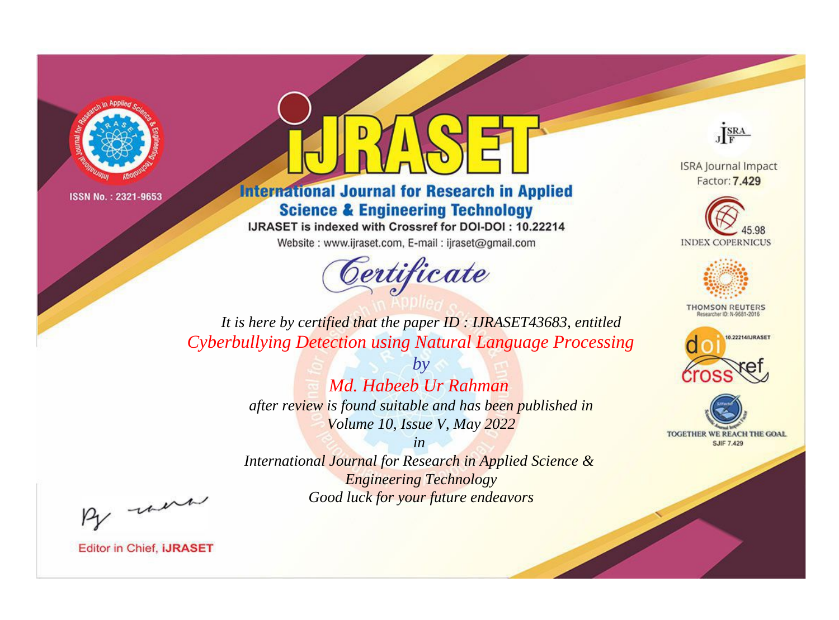



**International Journal for Research in Applied Science & Engineering Technology** 

IJRASET is indexed with Crossref for DOI-DOI: 10.22214

Website: www.ijraset.com, E-mail: ijraset@gmail.com



JERA

**ISRA Journal Impact** Factor: 7.429





**THOMSON REUTERS** 



TOGETHER WE REACH THE GOAL **SJIF 7.429** 

*It is here by certified that the paper ID : IJRASET43683, entitled Cyberbullying Detection using Natural Language Processing*

> *by Md. Habeeb Ur Rahman after review is found suitable and has been published in Volume 10, Issue V, May 2022*

> > *in*

*International Journal for Research in Applied Science & Engineering Technology Good luck for your future endeavors*

By morn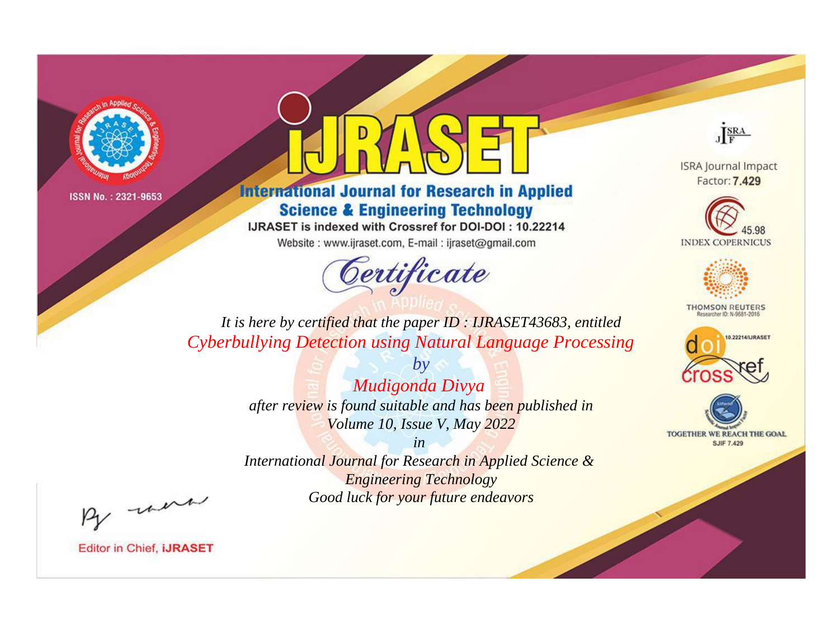



**International Journal for Research in Applied Science & Engineering Technology** 

IJRASET is indexed with Crossref for DOI-DOI: 10.22214

Website: www.ijraset.com, E-mail: ijraset@gmail.com



JERA

**ISRA Journal Impact** Factor: 7.429





**THOMSON REUTERS** 



TOGETHER WE REACH THE GOAL **SJIF 7.429** 

*It is here by certified that the paper ID : IJRASET43683, entitled Cyberbullying Detection using Natural Language Processing*

> *Mudigonda Divya after review is found suitable and has been published in Volume 10, Issue V, May 2022*

*by*

*in* 

*International Journal for Research in Applied Science & Engineering Technology Good luck for your future endeavors*

By morn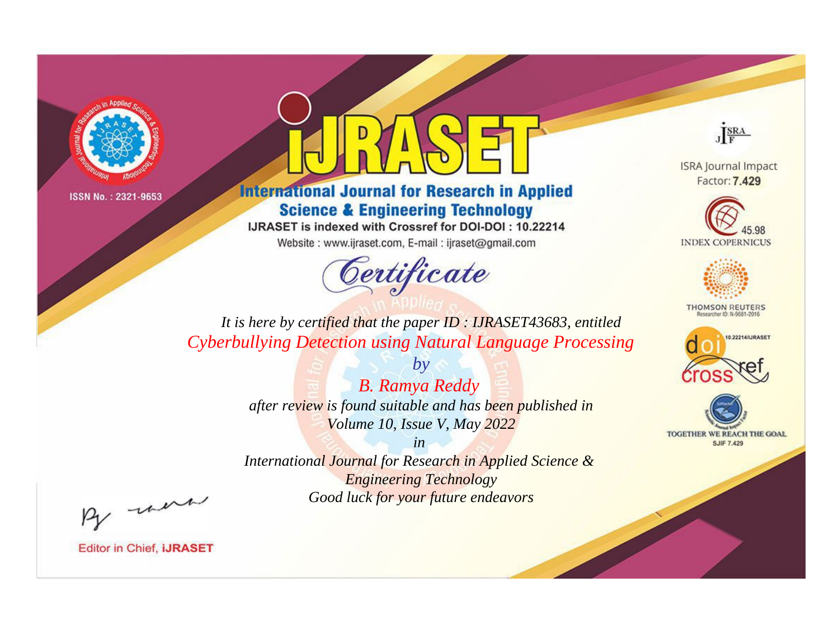



**International Journal for Research in Applied Science & Engineering Technology** 

IJRASET is indexed with Crossref for DOI-DOI: 10.22214

Website: www.ijraset.com, E-mail: ijraset@gmail.com



JERA

**ISRA Journal Impact** Factor: 7.429





**THOMSON REUTERS** 



TOGETHER WE REACH THE GOAL **SJIF 7.429** 

*It is here by certified that the paper ID : IJRASET43683, entitled Cyberbullying Detection using Natural Language Processing*

> *by B. Ramya Reddy after review is found suitable and has been published in Volume 10, Issue V, May 2022*

> > *in*

*International Journal for Research in Applied Science & Engineering Technology Good luck for your future endeavors*

By morn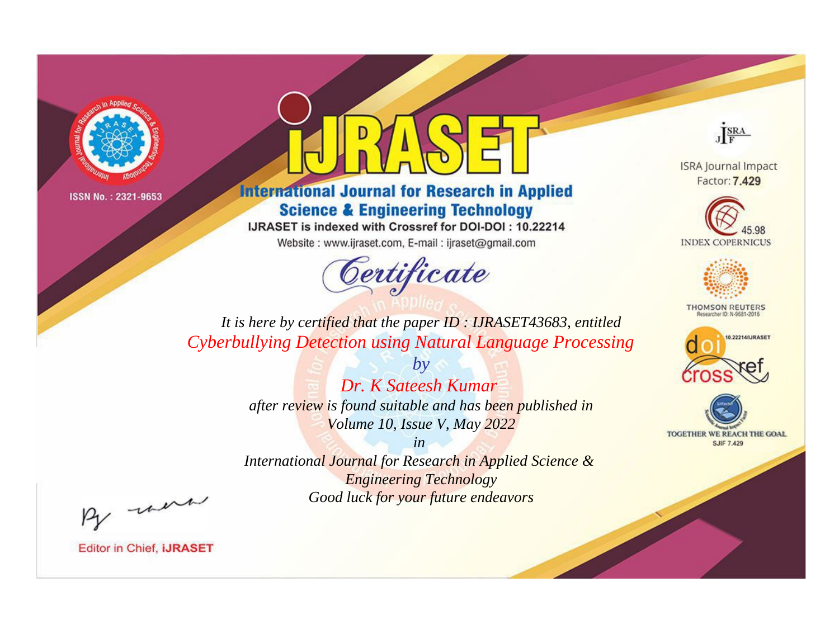



**International Journal for Research in Applied Science & Engineering Technology** 

IJRASET is indexed with Crossref for DOI-DOI: 10.22214

Website: www.ijraset.com, E-mail: ijraset@gmail.com



JERA

**ISRA Journal Impact** Factor: 7.429





**THOMSON REUTERS** 



TOGETHER WE REACH THE GOAL **SJIF 7.429** 

*It is here by certified that the paper ID : IJRASET43683, entitled Cyberbullying Detection using Natural Language Processing*

> *Dr. K Sateesh Kumar after review is found suitable and has been published in Volume 10, Issue V, May 2022*

*by*

*in* 

*International Journal for Research in Applied Science & Engineering Technology Good luck for your future endeavors*

By morn